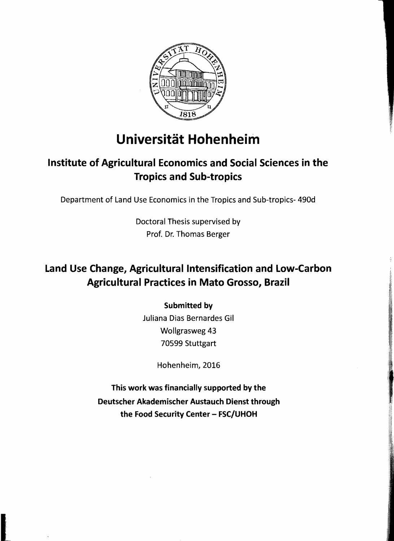

# **Universität Hohenheim**

### Institute of Agricultural Economics and Social Sciences in the Tropics and Sub-tropics

Department of Land Use Economics in the Tropics and Sub-tropics- 490d

Doctoral Thesis supervised by Prof. Dr. Thomas Berger

### Land Use Change, Agricultural Intensification and Low-Carbon Agricultural Practices in Mato Grosso, Brazil

#### Submitted by

Juliana Dias Bernardes Gil Wollgrasweg 43 70599 Stuttgart

Hohenheim, 2016

This work was financially supported by the Deutscher Akademischer Austauch Dienst through the Food Security Center - FSC/UHOH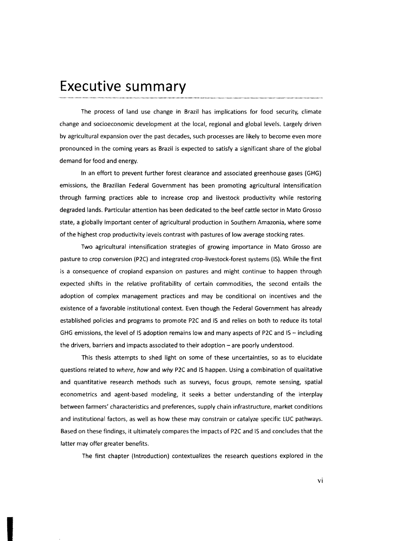## **Executive summary**

The process of land use change in Brazil has implications for food security, climate change and socioeconomic development at the local, regional and global levels. largely driven by agricultural expansion over the past decades, such processes are likely to become even more pronounced in the coming years as Brazil is expected to satisfy a significant share of the global demand for food and energy.

In an effort to prevent further forest clearance and associated greenhouse gases (GHG) emissions, the Brazilian Federal Government has been promoting agricultural intensification through farming practices able to increase crop and livestock productivity while restoring degraded lands. Particular attention has been dedicated to the beef cattle sector in Mato Grosso state, a globally important center of agricultural production in 50uthern Amazonia, where some of the highest crop productivity levels contrast with pastures of low average stocking rates.

Two agricultural intensification strategies of growing importance in Mato Grosso are pasture to crop conversion (P2C) and integrated crop-livestock-forest systems (15). While the first is a consequence of cropland expansion on pastures and might continue to happen through expected shifts in the relative profitability of certain commodities, the second entails the adoption of complex management practices and may be conditional on incentives and the existence of a favorable institutional context. Even though the Federal Government has already established policies and programs to promote P2C and 15 and relies on both to reduce its total GHG emissions, the level of IS adoption remains low and many aspects of P2C and IS - including the drivers, barriers and impacts associated to their adoption - are poorly understood.

This thesis attempts to shed light on some of these uncertainties, so as to elucidate questions related to where, how and why P2C and IS happen. Using a combination of qualitative and quantitative research methods such as surveys, focus groups, remote sensing, spatial econometrics and agent-based modeling, it seeks a better understanding of the interplay between farmers' characteristics and preferences, supply chain infrastructure, market conditions and institutional factors, as weil as how these may constrain or catalyze specific LUC pathways. Based on these findings, it ultimately compares the impacts of P2C and 15 and concludes that the latter may offer greater benefits.

The first chapter (Introduction) contextualizes the research questions explored in the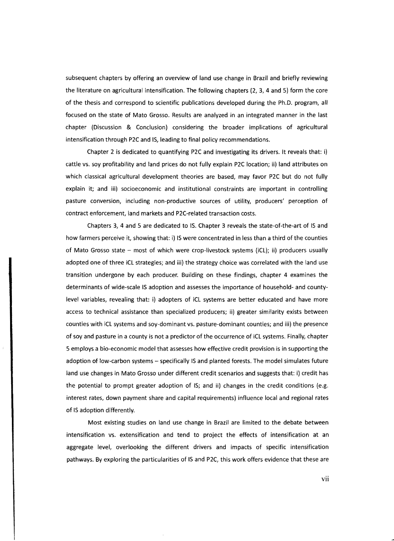subsequent chapters by offering an overview of land use change in Brazil and briefly reviewing the literature on agricultural intensification. The following chapters (2, 3, 4 and 5) form the core of the thesis and correspond to scientific publications developed during the Ph.D. program, all focused on the state of Mato Grosso. Results are analyzed in an integrated manner in the last chapter (Discussion & Conclusion) considering the broader implications of agricultural intensification through P2C and IS, leading to final policy recommendations.

Chapter 2 is dedicated to quantifying P2C and investigating its drivers. It reveals that: i) cattle vs. soy profitability and land prices do not fully explain P2C location; ii) land attributes on which classical agricultural development theories are based, may favor P2C but do not fully explain it; and iii) socioeconomic and institutional constraints are important in controlling pasture conversion, including non-productive sources of utility, producers' perception of contract enforcement, land markets and P2C-related transaction costs.

Chapters 3, 4 and 5 are dedicated to IS. Chapter 3 reveals the state-of-the-art of IS and how farmers perceive it, showing that: i) IS were concentrated in less than a third of the counties of Mato Grosso state - most of which were crop-livestock systems (iCL); ii) producers usually adopted one of three iCL strategies; and iii) the strategy choice was correlated with the land use transition undergone by each producer. Building on these findings, chapter 4 examines the determinants of wide-scale IS adoption and assesses the importance of household- and countylevel variables, revealing that: i) adopters of iCL systems are better educated and have more access to technical assistance than specialized producers; ii) greater similarity exists between counties with iCL systems and soy-dominant vs. pasture-dominant counties; and iii) the presence of soy and pasture in a county is not a predictor of the occurrence of iCL systems. Final/y, chapter 5 employs a bio-economic model that assesses how effective credit provision is in supporting the adoption of low-carbon systems - specifically IS and planted forests. The model simulates future land use changes in Mato Grosso under different credit scenarios and suggests that: i) credit has the potential to prompt greater adoption of IS; and ii) changes in the credit conditions (e.g. interest rates, down payment share and capital requirements) influence local and regional rates of IS adoption differently.

Most existing studies on land use change in Brazil are limited to the debate between intensification vs. extensification and tend to project the effects of intensification at an aggregate level, overlooking the different drivers and impacts of specific intensification pathways. By exploring the particularities of IS and P2C, this work offers evidence that these are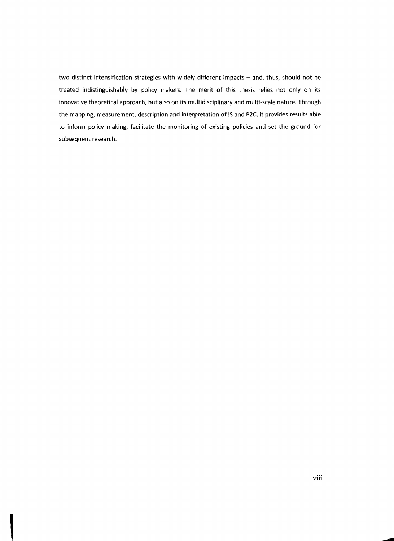two distinct intensification strategies with widely different impacts - and, thus, should not be treated indistinguishably by policy makers. The merit of this thesis relies not only on its innovative theoretical approach, but also on its multidisciplinary and multi-scale nature. Through the mapping, measurement, description and interpretation of IS and P2C, it provides results able to inform policy making, facilitate the monitoring of existing policies and set the ground for subsequent research.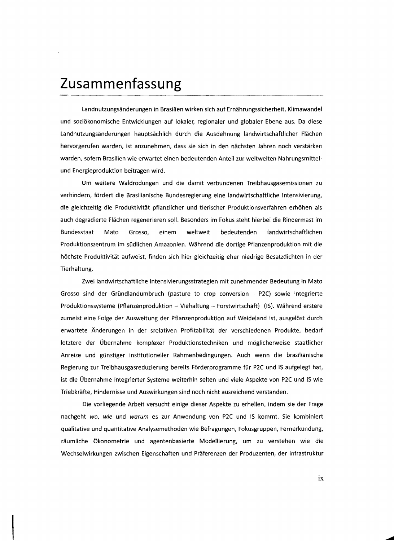## **Zusa mmenfassu ng**

I

Landnutzungsänderungen in Brasilien wirken sich auf Ernährungssicherheit, Klimawandel und soziökonomische Entwicklungen auf lokaler, regionaler und globaler Ebene aus. Da diese Landnutzungsänderungen hauptsächlich durch die Ausdehnung landwirtschaftlicher Flächen hervorgerufen warden, ist anzunehmen, dass sie sich in den nächsten Jahren noch verstärken warden, sofern Brasilien wie erwartet einen bedeutenden Anteil zur weltweiten Nahrungsmittelund Energieproduktion beitragen wird.

Um weitere Waldrodungen und die damit verbundenen Treibhausgasemissionen zu verhindern, fördert die Brasilianische Bundesregierung eine landwirtschaftliche Intensivierung, die gleichzeitig die Produktivität pflanzlicher und tierischer Produktionsverfahren erhöhen als auch degradierte Flächen regenerieren soll. Besonders im Fokus steht hierbei die Rindermast im Bundesstaat Mato Grosso, einem weltweit bedeutenden landwirtschaftlichen Produktionszentrum im südlichen Amazonien. Während die dortige Pflanzenproduktion mit die höchste Produktivität aufweist, finden sich hier gleichzeitig eher niedrige Besatzdichten in der Tierhaltung.

Zwei landwirtschaftliche Intensivierungsstrategien mit zunehmender Bedeutung in Mato Grosso sind der Gründlandumbruch (pasture to crop conversion - P2C) sowie integrierte Produktionssysteme (Pflanzenproduktion - Viehaltung - Forstwirtschaft) (IS). Während erstere zumeist eine Folge der Ausweitung der Pflanzenproduktion auf Weideland ist, ausgelöst durch erwartete Änderungen in der srelativen Profitabilität der verschiedenen Produkte, bedarf letztere der Übernahme komplexer Produktionstechniken und möglicherweise staatlicher Anreize und günstiger institutioneller Rahmenbedingungen. Auch wenn die brasilianische Regierung zur Treibhausgasreduzierung bereits Förderprogramme für P2C und 15 aufgelegt hat, ist die Übernahme integrierter Systeme weiterhin selten und viele Aspekte von P2C und 15 wie Triebkräfte, Hindernisse und Auswirkungen sind noch nicht ausreichend verstanden.

Die vorliegende Arbeit versucht einige dieser Aspekte zu erhellen, indem sie der Frage nachgeht *wo, wie* und *warum* es zur Anwendung von P2C und 15 kommt. Sie kombiniert qualitative und quantitative Analysemethoden wie Befragungen, Fokusgruppen, Fernerkundung, räumliche Ökonometrie und agentenbasierte Modellierung, um zu verstehen wie die Wechselwirkungen zwischen Eigenschaften und Präferenzen der Produzenten, der Infrastruktur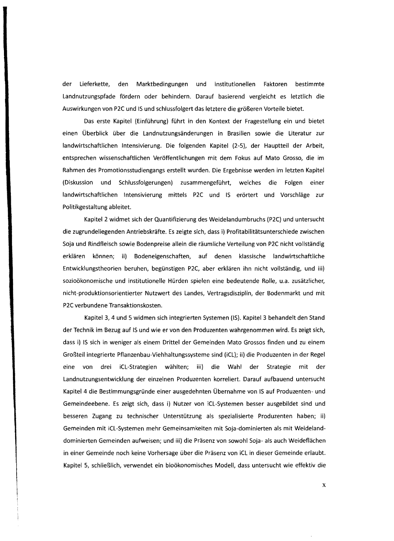der Lieferkette, den Marktbedingungen und institutionellen Faktoren bestimmte Landnutzungspfade fördern oder behindern. Darauf basierend vergleicht es letztlich die Auswirkungen von P2C und IS und schlussfolgert das letztere die größeren Vorteile bietet.

Das erste Kapitel (Einführung) führt in den Kontext der Fragestellung ein und bietet einen Überblick über die Landnutzungsänderungen in Brasilien sowie die Literatur zur landwirtschaftlichen Intensivierung. Die folgenden Kapitel (2-5), der Hauptteil der Arbeit, entsprechen wissenschaftlichen Veröffentlichungen mit dem Fokus auf Mato Grosso, die im Rahmen des Promotionsstudiengangs erstellt wurden. Die Ergebnisse werden im letzten Kapitel (Diskussion und Schlussfolgerungen) zusammengeführt, welches die Folgen einer landwirtschaftlichen Intensivierung mittels P2C und IS erörtert und Vorschläge zur Politikgestaltung ableitet.

Kapitel 2 widmet sich der Quantifizierung des Weidelandumbruchs (P2C) und untersucht die zugrundeliegenden Antriebskräfte. Es zeigte sich, dass i) Profitabilitätsunterschiede zwischen Soja und Rindfleisch sowie Bodenpreise allein die räumliche Verteilung von P2C nicht vollständig erklären können; ii) Bodeneigenschaften, auf denen klassische landwirtschaftliche Entwicklungstheorien beruhen, begünstigen P2C, aber erklären ihn nicht vollständig, und iii) sozioökonomische und institutionelle Hürden spielen eine bedeutende Rolle, u.a. zusätzlicher, nicht-produktionsorientierter Nutzwert des Landes, Vertragsdisziplin, der Bodenmarkt und mit P2C verbundene Transaktionskosten.

Kapitel 3,4 und 5 widmen sich integrierten Systemen (IS). Kapitel 3 behandelt den Stand der Technik im Bezug auf IS und wie er von den Produzenten wahrgenommen wird. Es zeigt sich, dass i) IS sich in weniger als einem Drittel der Gemeinden Mato Grossos finden und zu einem Großteil integrierte Pflanzenbau-Viehhaltungssysteme sind (iCL); ii) die Produzenten in der Regel eine von drei iCL-Strategien wählten; iii) die Wahl der Strategie mit der Landnutzungsentwicklung der einzelnen Produzenten korreliert. Darauf aufbauend untersucht Kapitel 4 die Bestimmungsgründe einer ausgedehnten Übernahme von IS auf Produzenten- und Gemeindeebene. Es zeigt sich, dass i) Nutzer von iCL-Systemen besser ausgebildet sind und besseren Zugang zu technischer Unterstützung als spezialisierte Produzenten haben; ii) Gemeinden mit iCL-Systemen mehr Gemeinsamkeiten mit Soja-dominierten als mit Weidelanddominierten Gemeinden aufweisen; und iii) die Präsenz von sowohl Soja- als auch Weideflächen in einer Gemeinde noch keine Vorhersage über die Präsenz von iCL in dieser Gemeinde erlaubt. Kapitel 5, schließlich, verwendet ein bioökonomisches Modell, dass untersucht wie effektiv die

x